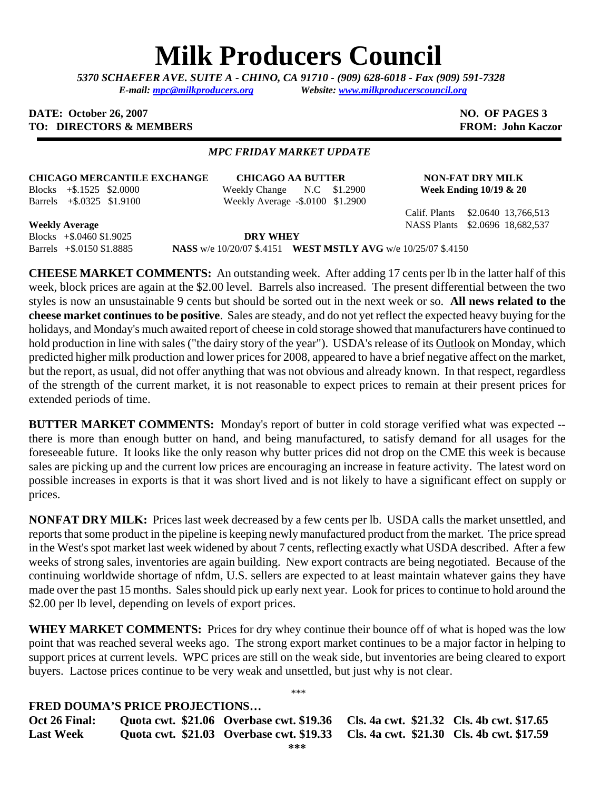# **Milk Producers Council**

*5370 SCHAEFER AVE. SUITE A* **-** *CHINO, CA 91710 - (909) 628-6018 - Fax (909) 591-7328 E-mail: [mpc@milkproducers.org](mailto:mpc@milkproducers.org) Website: [www.milkproducerscouncil.org](http://www.milkproducerscouncil.org/)* 

### **DATE:** October 26, 2007 **NO. OF PAGES 3 TO: DIRECTORS & MEMBERS FROM: John Kaczor**

## *MPC FRIDAY MARKET UPDATE*

### **CHICAGO MERCANTILE EXCHANGE CHICAGO AA BUTTER NON-FAT DRY MILK**

Blocks +\$.1525 \$2.0000 Weekly Change N.C \$1.2900 **Week Ending 10/19 & 20**  Barrels +\$.0325 \$1.9100 Weekly Average **-**\$.0100 \$1.2900

Calif. Plants \$2.0640 13,766,513 **Weekly Average** NASS Plants \$2.0696 18,682,537

Blocks +\$.0460 \$1.9025 **DRY WHEY** 

Barrels +\$.0150 \$1.8885 **NASS** w/e 10/20/07 \$.4151 **WEST MSTLY AVG** w/e 10/25/07 \$.4150

**CHEESE MARKET COMMENTS:** An outstanding week. After adding 17 cents per lb in the latter half of this week, block prices are again at the \$2.00 level. Barrels also increased. The present differential between the two styles is now an unsustainable 9 cents but should be sorted out in the next week or so. **All news related to the cheese market continues to be positive**. Sales are steady, and do not yet reflect the expected heavy buying for the holidays, and Monday's much awaited report of cheese in cold storage showed that manufacturers have continued to hold production in line with sales ("the dairy story of the year"). USDA's release of its Outlook on Monday, which predicted higher milk production and lower prices for 2008, appeared to have a brief negative affect on the market, but the report, as usual, did not offer anything that was not obvious and already known. In that respect, regardless of the strength of the current market, it is not reasonable to expect prices to remain at their present prices for extended periods of time.

**BUTTER MARKET COMMENTS:** Monday's report of butter in cold storage verified what was expected - there is more than enough butter on hand, and being manufactured, to satisfy demand for all usages for the foreseeable future. It looks like the only reason why butter prices did not drop on the CME this week is because sales are picking up and the current low prices are encouraging an increase in feature activity. The latest word on possible increases in exports is that it was short lived and is not likely to have a significant effect on supply or prices.

**NONFAT DRY MILK:** Prices last week decreased by a few cents per lb. USDA calls the market unsettled, and reports that some product in the pipeline is keeping newly manufactured product from the market. The price spread in the West's spot market last week widened by about 7 cents, reflecting exactly what USDA described. After a few weeks of strong sales, inventories are again building. New export contracts are being negotiated. Because of the continuing worldwide shortage of nfdm, U.S. sellers are expected to at least maintain whatever gains they have made over the past 15 months. Sales should pick up early next year. Look for prices to continue to hold around the \$2.00 per lb level, depending on levels of export prices.

**WHEY MARKET COMMENTS:** Prices for dry whey continue their bounce off of what is hoped was the low point that was reached several weeks ago. The strong export market continues to be a major factor in helping to support prices at current levels. WPC prices are still on the weak side, but inventories are being cleared to export buyers. Lactose prices continue to be very weak and unsettled, but just why is not clear.

\*\*\*

# **FRED DOUMA'S PRICE PROJECTIONS…**

**Oct 26 Final: Quota cwt. \$21.06 Overbase cwt. \$19.36 Cls. 4a cwt. \$21.32 Cls. 4b cwt. \$17.65 Last Week Quota cwt. \$21.03 Overbase cwt. \$19.33 Cls. 4a cwt. \$21.30 Cls. 4b cwt. \$17.59**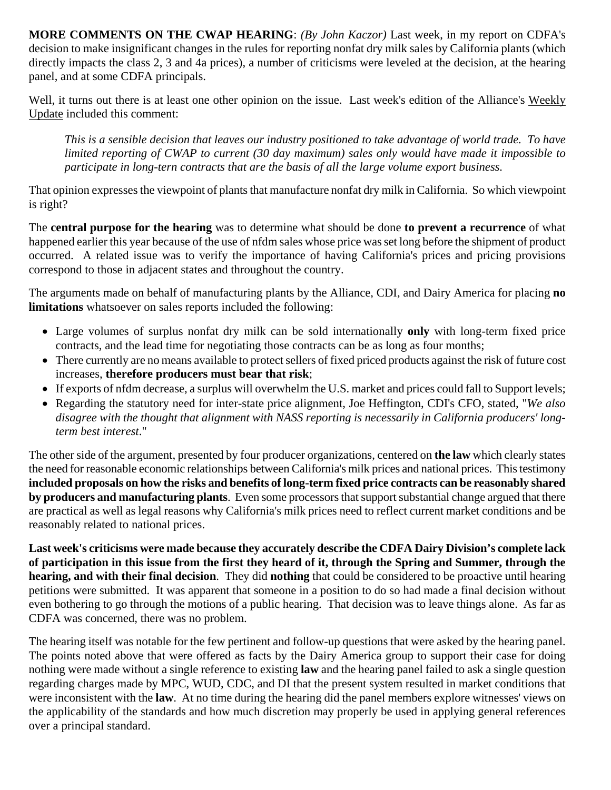**MORE COMMENTS ON THE CWAP HEARING**: *(By John Kaczor)* Last week, in my report on CDFA's decision to make insignificant changes in the rules for reporting nonfat dry milk sales by California plants (which directly impacts the class 2, 3 and 4a prices), a number of criticisms were leveled at the decision, at the hearing panel, and at some CDFA principals.

Well, it turns out there is at least one other opinion on the issue. Last week's edition of the Alliance's Weekly Update included this comment:

*This is a sensible decision that leaves our industry positioned to take advantage of world trade. To have limited reporting of CWAP to current (30 day maximum) sales only would have made it impossible to participate in long-tern contracts that are the basis of all the large volume export business.* 

That opinion expresses the viewpoint of plants that manufacture nonfat dry milk in California. So which viewpoint is right?

The **central purpose for the hearing** was to determine what should be done **to prevent a recurrence** of what happened earlier this year because of the use of nfdm sales whose price was set long before the shipment of product occurred. A related issue was to verify the importance of having California's prices and pricing provisions correspond to those in adjacent states and throughout the country.

The arguments made on behalf of manufacturing plants by the Alliance, CDI, and Dairy America for placing **no limitations** whatsoever on sales reports included the following:

- Large volumes of surplus nonfat dry milk can be sold internationally **only** with long-term fixed price contracts, and the lead time for negotiating those contracts can be as long as four months;
- There currently are no means available to protect sellers of fixed priced products against the risk of future cost increases, **therefore producers must bear that risk**;
- If exports of nfdm decrease, a surplus will overwhelm the U.S. market and prices could fall to Support levels;
- Regarding the statutory need for inter-state price alignment, Joe Heffington, CDI's CFO, stated, "*We also disagree with the thought that alignment with NASS reporting is necessarily in California producers' longterm best interest*."

The other side of the argument, presented by four producer organizations, centered on **the law** which clearly states the need for reasonable economic relationships between California's milk prices and national prices. This testimony **included proposals on how the risks and benefits of long-term fixed price contracts can be reasonably shared by producers and manufacturing plants**. Even some processors that support substantial change argued that there are practical as well as legal reasons why California's milk prices need to reflect current market conditions and be reasonably related to national prices.

**Last week's criticisms were made because they accurately describe the CDFA Dairy Division's complete lack of participation in this issue from the first they heard of it, through the Spring and Summer, through the hearing, and with their final decision**. They did **nothing** that could be considered to be proactive until hearing petitions were submitted. It was apparent that someone in a position to do so had made a final decision without even bothering to go through the motions of a public hearing. That decision was to leave things alone. As far as CDFA was concerned, there was no problem.

The hearing itself was notable for the few pertinent and follow-up questions that were asked by the hearing panel. The points noted above that were offered as facts by the Dairy America group to support their case for doing nothing were made without a single reference to existing **law** and the hearing panel failed to ask a single question regarding charges made by MPC, WUD, CDC, and DI that the present system resulted in market conditions that were inconsistent with the **law**. At no time during the hearing did the panel members explore witnesses' views on the applicability of the standards and how much discretion may properly be used in applying general references over a principal standard.